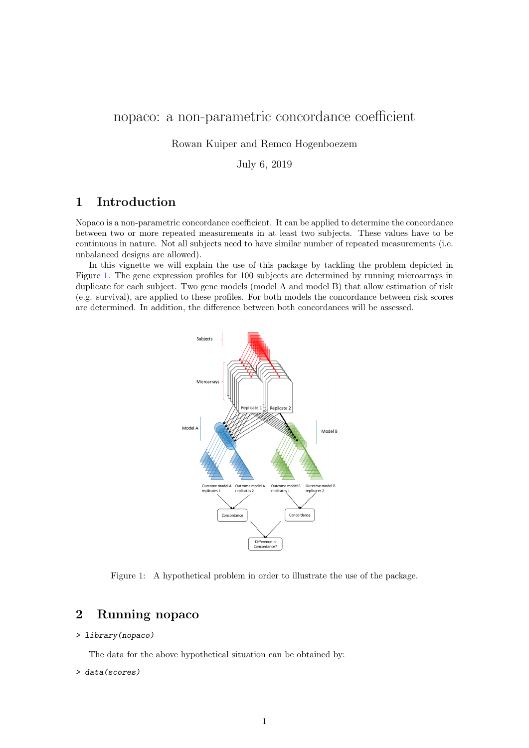# nopaco: a non-parametric concordance coefficient

Rowan Kuiper and Remco Hogenboezem

July 6, 2019

## 1 Introduction

Nopaco is a non-parametric concordance coefficient. It can be applied to determine the concordance between two or more repeated measurements in at least two subjects. These values have to be continuous in nature. Not all subjects need to have similar number of repeated measurements (i.e. unbalanced designs are allowed).

In this vignette we will explain the use of this package by tackling the problem depicted in Figure [1.](#page-0-0) The gene expression profiles for 100 subjects are determined by running microarrays in duplicate for each subject. Two gene models (model A and model B) that allow estimation of risk (e.g. survival), are applied to these profiles. For both models the concordance between risk scores are determined. In addition, the difference between both concordances will be assessed.



<span id="page-0-0"></span>Figure 1: A hypothetical problem in order to illustrate the use of the package.

## 2 Running nopaco

### > library(nopaco)

The data for the above hypothetical situation can be obtained by:

#### > data(scores)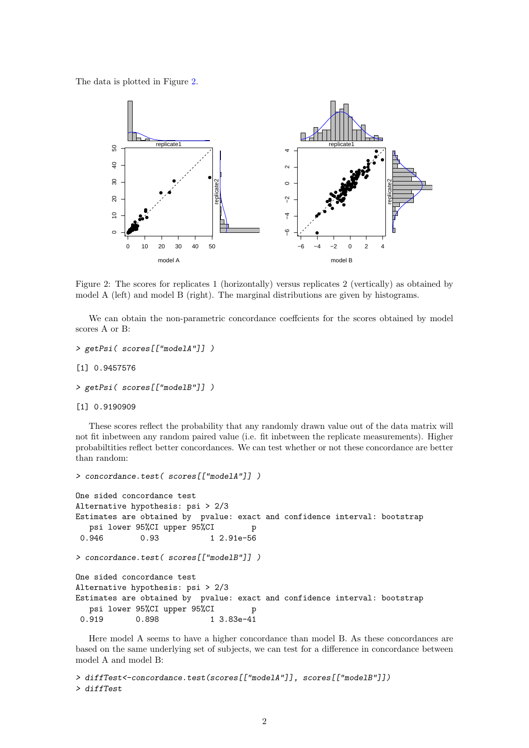The data is plotted in Figure [2.](#page-1-0)



<span id="page-1-0"></span>Figure 2: The scores for replicates 1 (horizontally) versus replicates 2 (vertically) as obtained by model A (left) and model B (right). The marginal distributions are given by histograms.

We can obtain the non-parametric concordance coeffcients for the scores obtained by model scores A or B:

```
> getPsi( scores[["modelA"]] )
```
[1] 0.9457576

```
> getPsi( scores[["modelB"]] )
```
[1] 0.9190909

These scores reflect the probability that any randomly drawn value out of the data matrix will not fit inbetween any random paired value (i.e. fit inbetween the replicate measurements). Higher probabiltities reflect better concordances. We can test whether or not these concordance are better than random:

```
> concordance.test( scores[["modelA"]] )
One sided concordance test
Alternative hypothesis: psi > 2/3
Estimates are obtained by pvalue: exact and confidence interval: bootstrap
  psi lower 95%CI upper 95%CI p
0.946 0.93 1 2.91e-56
> concordance.test( scores[["modelB"]] )
One sided concordance test
Alternative hypothesis: psi > 2/3
Estimates are obtained by pvalue: exact and confidence interval: bootstrap
  psi lower 95%CI upper 95%CI p
0.919 0.898 1 3.83e-41
```
Here model A seems to have a higher concordance than model B. As these concordances are based on the same underlying set of subjects, we can test for a difference in concordance between model A and model B:

```
> diffTest<-concordance.test(scores[["modelA"]], scores[["modelB"]])
> diffTest
```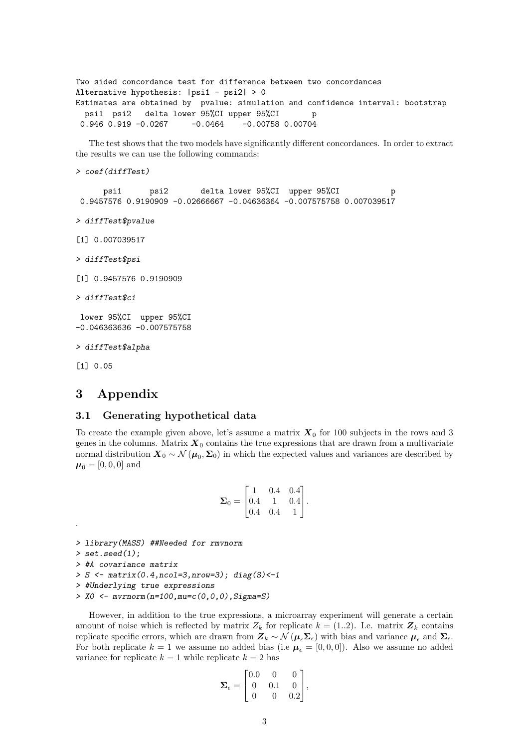```
Two sided concordance test for difference between two concordances
Alternative hypothesis: |psi1 - psi2| > 0
Estimates are obtained by pvalue: simulation and confidence interval: bootstrap
 psi1 psi2 delta lower 95%CI upper 95%CI p
0.946 0.919 -0.0267 -0.0464 -0.00758 0.00704
```
The test shows that the two models have significantly different concordances. In order to extract the results we can use the following commands:

```
> coef(diffTest)
```
psi1 psi2 delta lower 95%CI upper 95%CI p 0.9457576 0.9190909 -0.02666667 -0.04636364 -0.007575758 0.007039517

- > diffTest\$pvalue
- [1] 0.007039517
- > diffTest\$psi

[1] 0.9457576 0.9190909

> diffTest\$ci

lower 95%CI upper 95%CI -0.046363636 -0.007575758

> diffTest\$alpha

[1] 0.05

## 3 Appendix

### 3.1 Generating hypothetical data

To create the example given above, let's assume a matrix  $X_0$  for 100 subjects in the rows and 3 genes in the columns. Matrix  $X_0$  contains the true expressions that are drawn from a multivariate normal distribution  $X_0 \sim \mathcal{N}(\mu_0, \Sigma_0)$  in which the expected values and variances are described by  $\mu_0 = [0, 0, 0]$  and

$$
\mathbf{\Sigma}_0 = \begin{bmatrix} 1 & 0.4 & 0.4 \\ 0.4 & 1 & 0.4 \\ 0.4 & 0.4 & 1 \end{bmatrix}.
$$

> library(MASS) ##Needed for rmvnorm

 $>$  set.seed $(1)$ :

.

```
> #A covariance matrix
```
 $> S \leq$  matrix(0.4,ncol=3,nrow=3); diag(S) <-1

```
> #Underlying true expressions
```

```
> X0 <- mvrnorm(n=100,mu=c(0,0,0),Sigma=S)
```
However, in addition to the true expressions, a microarray experiment will generate a certain amount of noise which is reflected by matrix  $Z_k$  for replicate  $k = (1..2)$ . I.e. matrix  $\mathbf{Z}_k$  contains replicate specific errors, which are drawn from  $Z_k \sim \mathcal{N}(\mu_{\epsilon} \Sigma_{\epsilon})$  with bias and variance  $\mu_{\epsilon}$  and  $\Sigma_{\epsilon}$ . For both replicate  $k = 1$  we assume no added bias (i.e  $\mu_{\epsilon} = [0, 0, 0]$ ). Also we assume no added variance for replicate  $k = 1$  while replicate  $k = 2$  has

$$
\mathbf{\Sigma}_{\epsilon} = \begin{bmatrix} 0.0 & 0 & 0 \\ 0 & 0.1 & 0 \\ 0 & 0 & 0.2 \end{bmatrix},
$$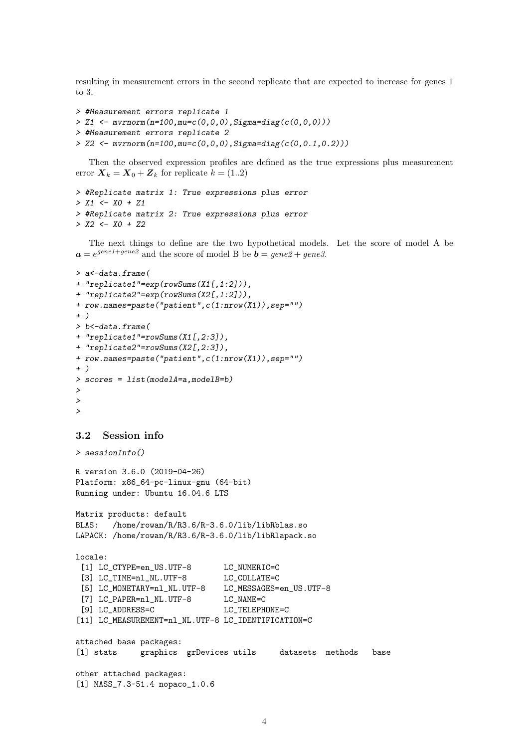resulting in measurement errors in the second replicate that are expected to increase for genes 1 to 3.

```
> #Measurement errors replicate 1
```
> Z1 <-  $mvrnorm(n=100, mu=c(0,0,0), Sigma=diag(c(0,0,0)))$ 

```
> #Measurement errors replicate 2
```

```
> Z2 <- mvrnorm(n=100,mu=c(0,0,0),Sigma=diag(c(0,0.1,0.2)))
```
Then the observed expression profiles are defined as the true expressions plus measurement error  $\mathbf{X}_k = \mathbf{X}_0 + \mathbf{Z}_k$  for replicate  $k = (1..2)$ 

```
> #Replicate matrix 1: True expressions plus error
> X1 \leftarrow X0 + Z1> #Replicate matrix 2: True expressions plus error
> X2 <- X0 + Z2
```
The next things to define are the two hypothetical models. Let the score of model A be  $a = e^{gene1+gene2}$  and the score of model B be  $b = gene2 + gene3$ .

```
> a<-data.frame(
+ "replicate1"=exp(rowSums(X1[,1:2])),
+ "replicate2"=exp(rowSums(X2[,1:2])),
+ row.names=paste("patient",c(1:nrow(X1)),sep="")
+ )
> b<-data.frame(
+ "replicate1"=rowSums(X1[,2:3]),
+ "replicate2"=rowSums(X2[,2:3]),
+ row.names=paste("patient",c(1:nrow(X1)),sep="")
+ )
> scores = list(modelA=a,modelB=b)
>
>
>
```
### 3.2 Session info

```
> sessionInfo()
```

```
R version 3.6.0 (2019-04-26)
Platform: x86_64-pc-linux-gnu (64-bit)
Running under: Ubuntu 16.04.6 LTS
```

```
Matrix products: default
BLAS: /home/rowan/R/R3.6/R-3.6.0/lib/libRblas.so
LAPACK: /home/rowan/R/R3.6/R-3.6.0/lib/libRlapack.so
```

```
locale:
```

```
[1] LC_CTYPE=en_US.UTF-8 LC_NUMERIC=C
[3] LC_TIME=nl_NL.UTF-8 LC_COLLATE=C
[5] LC_MONETARY=nl_NL.UTF-8 LC_MESSAGES=en_US.UTF-8
[7] LC_PAPER=nl_NL.UTF-8 LC_NAME=C
[9] LC_ADDRESS=C LC_TELEPHONE=C
[11] LC_MEASUREMENT=nl_NL.UTF-8 LC_IDENTIFICATION=C
```

```
attached base packages:
[1] stats graphics grDevices utils datasets methods base
other attached packages:
[1] MASS_7.3-51.4 nopaco_1.0.6
```